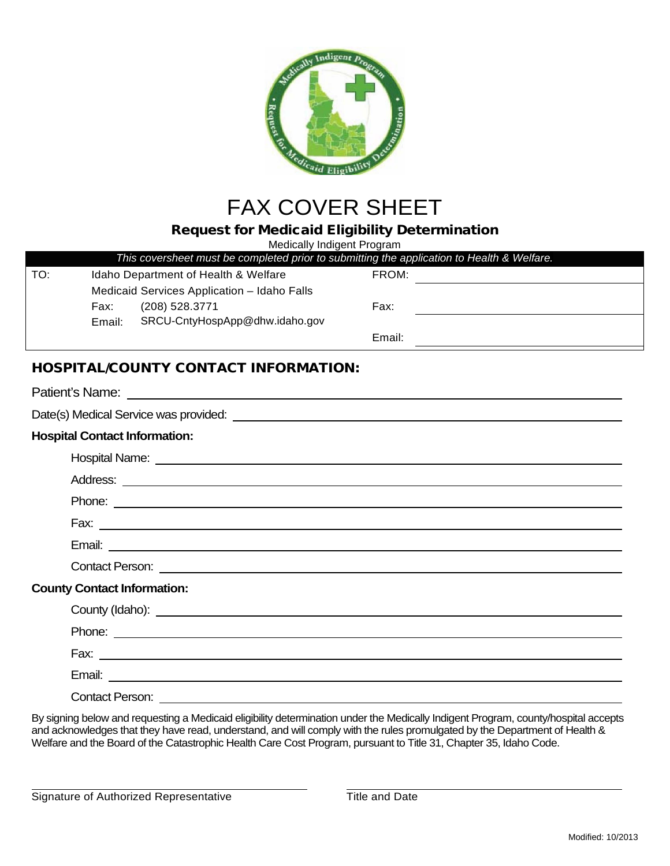

# FAX COVER SHEET

## Request for Medicaid Eligibility Determination

Medically Indigent Program

|     |        | This coversheet must be completed prior to submitting the application to Health & Welfare. |        |  |
|-----|--------|--------------------------------------------------------------------------------------------|--------|--|
| TO: |        | Idaho Department of Health & Welfare                                                       | FROM:  |  |
|     |        | Medicaid Services Application - Idaho Falls                                                |        |  |
|     | Fax:   | (208) 528.3771                                                                             | Fax:   |  |
|     | Email: | SRCU-CntyHospApp@dhw.idaho.gov                                                             |        |  |
|     |        |                                                                                            | Email: |  |
|     |        | <b>ILOCDITAL ICOLINITY CONITACT INITODIAATION.</b>                                         |        |  |

## HOSPITAL/COUNTY CONTACT INFORMATION:

| <b>Hospital Contact Information:</b>                                                                                                                                                                                                 |
|--------------------------------------------------------------------------------------------------------------------------------------------------------------------------------------------------------------------------------------|
| Hospital Name: <u>New York: Name: New York: Name: New York: Name: New York: Name: New York: Name: New York: Name: New York: Name: New York: Name: New York: Name: New York: Name: New York: Name: New York: Name: New York: Name</u> |
|                                                                                                                                                                                                                                      |
| Phone: <u>example and the contract of the contract of the contract of the contract of the contract of the contract of the contract of the contract of the contract of the contract of the contract of the contract of the contra</u> |
|                                                                                                                                                                                                                                      |
|                                                                                                                                                                                                                                      |
| Contact Person: <u>Andrea Contact Person:</u> Andrea Contact Person: Andrea Contact Person: Andrea Contact Person: Andrea Contact Person: Andrea Contact Person: Andrea Contact Person: Andrea Contact Person: Andrea Contact Perso  |
| <b>County Contact Information:</b>                                                                                                                                                                                                   |
|                                                                                                                                                                                                                                      |
| Phone: <u>example and the contract of the contract of the contract of the contract of the contract of the contract of the contract of the contract of the contract of the contract of the contract of the contract of the contra</u> |
|                                                                                                                                                                                                                                      |
|                                                                                                                                                                                                                                      |
| Contact Person: <u>______________________</u>                                                                                                                                                                                        |

By signing below and requesting a Medicaid eligibility determination under the Medically Indigent Program, county/hospital accepts and acknowledges that they have read, understand, and will comply with the rules promulgated by the Department of Health & Welfare and the Board of the Catastrophic Health Care Cost Program, pursuant to Title 31, Chapter 35, Idaho Code.

Signature of Authorized Representative Title and Date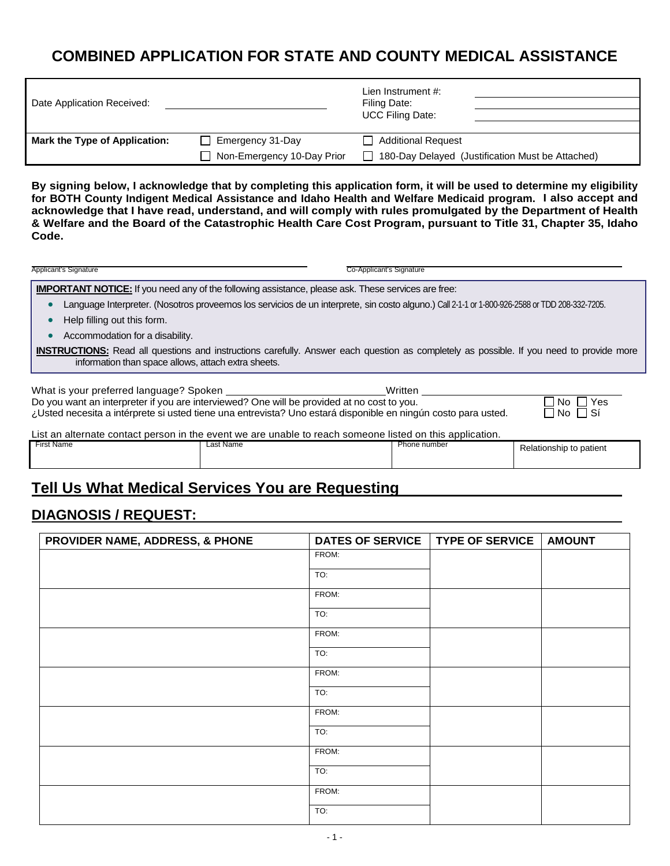## **COMBINED APPLICATION FOR STATE AND COUNTY MEDICAL ASSISTANCE**

| Date Application Received:    |                            | Lien Instrument #:<br>Filing Date:               |
|-------------------------------|----------------------------|--------------------------------------------------|
|                               |                            | <b>UCC Filing Date:</b>                          |
|                               |                            |                                                  |
| Mark the Type of Application: | $\Box$ Emergency 31-Day    | <b>Additional Request</b>                        |
|                               | Non-Emergency 10-Day Prior | 180-Day Delayed (Justification Must be Attached) |

**By signing below, I acknowledge that by completing this application form, it will be used to determine my eligibility for BOTH County Indigent Medical Assistance and Idaho Health and Welfare Medicaid program. I also accept and acknowledge that I have read, understand, and will comply with rules promulgated by the Department of Health & Welfare and the Board of the Catastrophic Health Care Cost Program, pursuant to Title 31, Chapter 35, Idaho Code.**

| Applicant's Signature                                                                                                                                                                                       | Co-Applicant's Signature  |  |  |  |  |
|-------------------------------------------------------------------------------------------------------------------------------------------------------------------------------------------------------------|---------------------------|--|--|--|--|
| <b>IMPORTANT NOTICE:</b> If you need any of the following assistance, please ask. These services are free:                                                                                                  |                           |  |  |  |  |
| Language Interpreter. (Nosotros proveemos los servicios de un interprete, sin costo alguno.) Call 2-1-1 or 1-800-926-2588 or TDD 208-332-7205.                                                              |                           |  |  |  |  |
| Help filling out this form.                                                                                                                                                                                 |                           |  |  |  |  |
| Accommodation for a disability.                                                                                                                                                                             |                           |  |  |  |  |
| <b>INSTRUCTIONS:</b> Read all questions and instructions carefully. Answer each question as completely as possible. If you need to provide more<br>information than space allows, attach extra sheets.      |                           |  |  |  |  |
| What is your preferred language? Spoken<br>Written                                                                                                                                                          |                           |  |  |  |  |
| Do you want an interpreter if you are interviewed? One will be provided at no cost to you.<br>¿Usted necesita a intérprete si usted tiene una entrevista? Uno estará disponible en ningún costo para usted. | Yes<br>INO II<br>∩No ∏ Sí |  |  |  |  |

| List an alternate contact person in the event we are unable to reach someone listed on this application. |           |              |                         |  |  |  |
|----------------------------------------------------------------------------------------------------------|-----------|--------------|-------------------------|--|--|--|
| First Name                                                                                               | Last Name | Phone number | Relationship to patient |  |  |  |

## **Tell Us What Medical Services You are Requesting**

## **DIAGNOSIS / REQUEST:**

| PROVIDER NAME, ADDRESS, & PHONE | <b>DATES OF SERVICE</b> | <b>TYPE OF SERVICE</b> | <b>AMOUNT</b> |
|---------------------------------|-------------------------|------------------------|---------------|
|                                 | FROM:                   |                        |               |
|                                 | TO:                     |                        |               |
|                                 | FROM:                   |                        |               |
|                                 | TO:                     |                        |               |
|                                 | FROM:                   |                        |               |
|                                 | TO:                     |                        |               |
|                                 | FROM:                   |                        |               |
|                                 | TO:                     |                        |               |
|                                 | FROM:                   |                        |               |
|                                 | TO:                     |                        |               |
|                                 | FROM:                   |                        |               |
|                                 | TO:                     |                        |               |
|                                 | FROM:                   |                        |               |
|                                 | TO:                     |                        |               |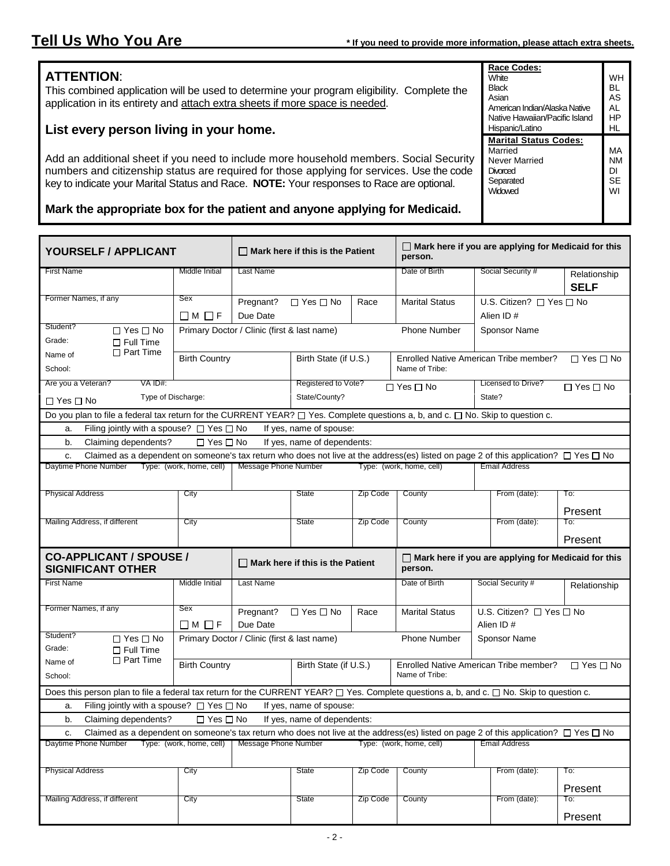**Race Codes: White Black** Asian

Hispanic/Latino

**Married** Never Married **Divorced Separated Widowed** 

American Indian/Alaska Native Native Hawaiian/Pacific Island

**Marital Status Codes:**

WH BL AS AL HP HL

MA NM DI **SE** WI

## **ATTENTION**:

This combined application will be used to determine your program eligibility. Complete the application in its entirety and attach extra sheets if more space is needed.

## **List every person living in your home.**

Add an additional sheet if you need to include more household members. Social Security numbers and citizenship status are required for those applying for services. Use the code key to indicate your Marital Status and Race. **NOTE:** Your responses to Race are optional.

### **Mark the appropriate box for the patient and anyone applying for Medicaid.**

| YOURSELF / APPLICANT                                                                                                                                      |                          | $\Box$ Mark here if this is the Patient     |                             | $\Box$ Mark here if you are applying for Medicaid for this<br>person. |                                                                       |                                        |                             |
|-----------------------------------------------------------------------------------------------------------------------------------------------------------|--------------------------|---------------------------------------------|-----------------------------|-----------------------------------------------------------------------|-----------------------------------------------------------------------|----------------------------------------|-----------------------------|
| <b>First Name</b>                                                                                                                                         | Middle Initial           | <b>Last Name</b>                            |                             |                                                                       | Date of Birth                                                         | Social Security #                      | Relationship<br><b>SELF</b> |
| Former Names, if any                                                                                                                                      | Sex                      | Pregnant?                                   | $\Box$ Yes $\Box$ No        | Race                                                                  | <b>Marital Status</b>                                                 | U.S. Citizen? □ Yes □ No               |                             |
|                                                                                                                                                           | $\Box$ M $\Box$ F        | Due Date                                    |                             |                                                                       |                                                                       | Alien ID#                              |                             |
| Student?<br>$\Box$ Yes $\Box$ No                                                                                                                          |                          | Primary Doctor / Clinic (first & last name) |                             |                                                                       | <b>Phone Number</b>                                                   | <b>Sponsor Name</b>                    |                             |
| Grade:<br>$\Box$ Full Time                                                                                                                                |                          |                                             |                             |                                                                       |                                                                       |                                        |                             |
| $\Box$ Part Time<br>Name of                                                                                                                               | <b>Birth Country</b>     |                                             | Birth State (if U.S.)       |                                                                       |                                                                       | Enrolled Native American Tribe member? | $\Box$ Yes $\Box$ No        |
| School:                                                                                                                                                   |                          |                                             |                             |                                                                       | Name of Tribe:                                                        |                                        |                             |
| Are you a Veteran?<br>VA ID#:                                                                                                                             |                          |                                             | Registered to Vote?         |                                                                       | $\Box$ Yes $\Box$ No                                                  | <b>Licensed to Drive?</b>              | $\Box$ Yes $\Box$ No        |
| Type of Discharge:<br>$\Box$ Yes $\Box$ No                                                                                                                |                          |                                             | State/County?               |                                                                       |                                                                       | State?                                 |                             |
| Do you plan to file a federal tax return for the CURRENT YEAR? □ Yes. Complete questions a, b, and c. □ No. Skip to question c.                           |                          |                                             |                             |                                                                       |                                                                       |                                        |                             |
| Filing jointly with a spouse? $\Box$ Yes $\Box$ No<br>a.                                                                                                  |                          |                                             | If yes, name of spouse:     |                                                                       |                                                                       |                                        |                             |
| b.<br>Claiming dependents?                                                                                                                                | $\Box$ Yes $\Box$ No     |                                             | If yes, name of dependents: |                                                                       |                                                                       |                                        |                             |
| Claimed as a dependent on someone's tax return who does not live at the address(es) listed on page 2 of this application? $\Box$ Yes $\Box$ No<br>C.      |                          |                                             |                             |                                                                       |                                                                       |                                        |                             |
| Daytime Phone Number                                                                                                                                      | Type: (work, home, cell) | Message Phone Number                        |                             |                                                                       | Type: (work, home, cell)                                              | <b>Email Address</b>                   |                             |
| <b>Physical Address</b>                                                                                                                                   | City                     |                                             | State                       | Zip Code                                                              | County                                                                | From (date):                           | To:                         |
|                                                                                                                                                           |                          |                                             |                             |                                                                       |                                                                       |                                        | Present                     |
| Mailing Address, if different                                                                                                                             | City                     |                                             | <b>State</b>                | Zip Code                                                              | County                                                                | From (date):                           | To:                         |
|                                                                                                                                                           |                          |                                             |                             |                                                                       |                                                                       |                                        | Present                     |
| <b>CO-APPLICANT / SPOUSE /</b><br><b>SIGNIFICANT OTHER</b>                                                                                                |                          | $\Box$ Mark here if this is the Patient     |                             |                                                                       | $\Box$ Mark here if you are applying for Medicaid for this<br>person. |                                        |                             |
| <b>First Name</b>                                                                                                                                         | Middle Initial           | <b>Last Name</b>                            |                             |                                                                       | Date of Birth                                                         | Social Security #                      |                             |
|                                                                                                                                                           |                          |                                             |                             |                                                                       |                                                                       |                                        | Relationship                |
| Former Names, if any                                                                                                                                      | Sex                      | Pregnant?                                   | $\Box$ Yes $\Box$ No        | Race                                                                  | <b>Marital Status</b>                                                 | U.S. Citizen? □ Yes □ No               |                             |
|                                                                                                                                                           | $\Box$ M $\Box$ F        | Due Date                                    |                             |                                                                       |                                                                       | Alien ID#                              |                             |
| Student?<br>$\Box$ Yes $\Box$ No<br>Grade:<br>$\Box$ Full Time                                                                                            |                          | Primary Doctor / Clinic (first & last name) |                             |                                                                       | <b>Phone Number</b>                                                   | Sponsor Name                           |                             |
| $\Box$ Part Time<br>Name of                                                                                                                               | <b>Birth Country</b>     |                                             | Birth State (if U.S.)       |                                                                       |                                                                       | Enrolled Native American Tribe member? | $\Box$ Yes $\Box$ No        |
| School:                                                                                                                                                   |                          |                                             |                             |                                                                       | Name of Tribe:                                                        |                                        |                             |
| Does this person plan to file a federal tax return for the CURRENT YEAR? $\square$ Yes. Complete questions a, b, and c. $\square$ No. Skip to question c. |                          |                                             |                             |                                                                       |                                                                       |                                        |                             |
| Filing jointly with a spouse? $\Box$ Yes $\Box$ No<br>а.                                                                                                  |                          |                                             | If yes, name of spouse:     |                                                                       |                                                                       |                                        |                             |
| Claiming dependents?<br>b.                                                                                                                                | $\Box$ Yes $\Box$ No     |                                             | If yes, name of dependents: |                                                                       |                                                                       |                                        |                             |
| Claimed as a dependent on someone's tax return who does not live at the address(es) listed on page 2 of this application? $\Box$ Yes $\Box$ No<br>c.      |                          |                                             |                             |                                                                       |                                                                       |                                        |                             |
| Daytime Phone Number                                                                                                                                      | Type: (work, home, cell) | Message Phone Number                        |                             |                                                                       | Type: (work, home, cell)                                              | <b>Email Address</b>                   |                             |
| <b>Physical Address</b>                                                                                                                                   | City                     |                                             | State                       | Zip Code                                                              | County                                                                | From (date):                           | To:                         |
|                                                                                                                                                           |                          |                                             |                             |                                                                       |                                                                       |                                        | Present                     |
| Mailing Address, if different                                                                                                                             | City                     |                                             | State                       | Zip Code                                                              | County                                                                | From (date):                           | To:                         |
|                                                                                                                                                           |                          |                                             |                             |                                                                       |                                                                       |                                        | Present                     |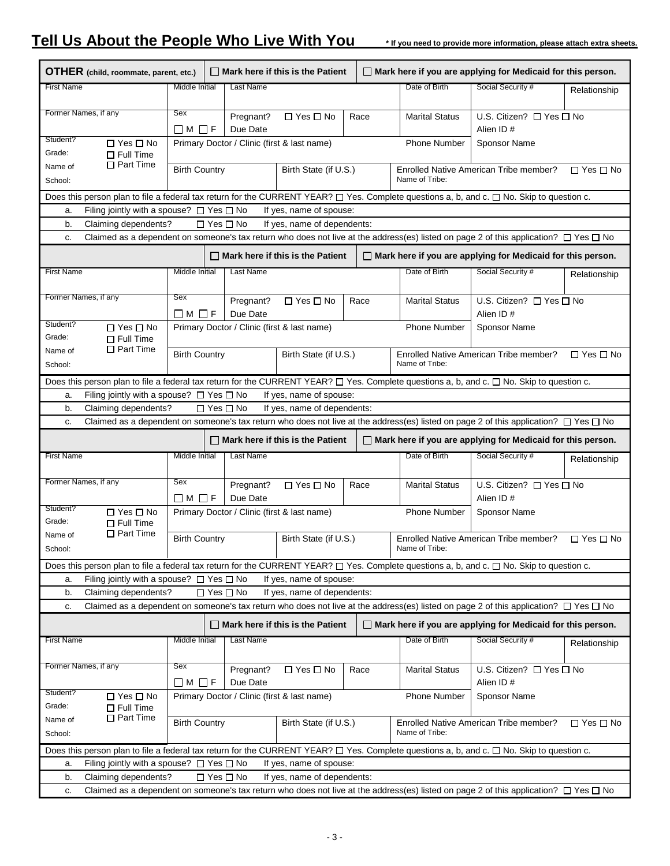## **Tell Us About the People Who Live With You \* If you need to provide more information, please attach extra sheets.**

|                                                                                     | OTHER (child, roommate, parent, etc.)                                                                                                     |                         |  |                       | $\Box$ Mark here if this is the Patient     |      |                       | $\Box$ Mark here if you are applying for Medicaid for this person.                                                                                  |                      |
|-------------------------------------------------------------------------------------|-------------------------------------------------------------------------------------------------------------------------------------------|-------------------------|--|-----------------------|---------------------------------------------|------|-----------------------|-----------------------------------------------------------------------------------------------------------------------------------------------------|----------------------|
| <b>First Name</b>                                                                   |                                                                                                                                           | Middle Initial          |  | Last Name             |                                             |      | Date of Birth         | Social Security #                                                                                                                                   | Relationship         |
|                                                                                     | Former Names, if any                                                                                                                      | Sex                     |  |                       |                                             |      |                       |                                                                                                                                                     |                      |
|                                                                                     |                                                                                                                                           | $\Box M \Box F$         |  | Pregnant?<br>Due Date | $\Box$ Yes $\Box$ No                        | Race | <b>Marital Status</b> | U.S. Citizen? □ Yes □ No<br>Alien ID#                                                                                                               |                      |
| Student?                                                                            | $\Box$ Yes $\Box$ No                                                                                                                      |                         |  |                       | Primary Doctor / Clinic (first & last name) |      | <b>Phone Number</b>   | <b>Sponsor Name</b>                                                                                                                                 |                      |
| Grade:                                                                              | $\Box$ Full Time                                                                                                                          |                         |  |                       |                                             |      |                       |                                                                                                                                                     |                      |
| Name of                                                                             | $\Box$ Part Time                                                                                                                          | <b>Birth Country</b>    |  |                       | Birth State (if U.S.)                       |      |                       | Enrolled Native American Tribe member?                                                                                                              | $\Box$ Yes $\Box$ No |
| School:                                                                             |                                                                                                                                           |                         |  |                       |                                             |      | Name of Tribe:        |                                                                                                                                                     |                      |
|                                                                                     | Does this person plan to file a federal tax return for the CURRENT YEAR? □ Yes. Complete questions a, b, and c. □ No. Skip to question c. |                         |  |                       |                                             |      |                       |                                                                                                                                                     |                      |
| Filing jointly with a spouse? $\Box$ Yes $\Box$ No<br>If yes, name of spouse:<br>a. |                                                                                                                                           |                         |  |                       |                                             |      |                       |                                                                                                                                                     |                      |
| b.                                                                                  | Claiming dependents?                                                                                                                      |                         |  | $\Box$ Yes $\Box$ No  | If yes, name of dependents:                 |      |                       |                                                                                                                                                     |                      |
| c.                                                                                  |                                                                                                                                           |                         |  |                       |                                             |      |                       | Claimed as a dependent on someone's tax return who does not live at the address(es) listed on page 2 of this application? $\Box$ Yes $\Box$ No      |                      |
|                                                                                     |                                                                                                                                           |                         |  |                       | $\Box$ Mark here if this is the Patient     |      |                       | $\Box$ Mark here if you are applying for Medicaid for this person.                                                                                  |                      |
| <b>First Name</b>                                                                   |                                                                                                                                           | Middle Initial          |  | Last Name             |                                             |      | Date of Birth         | Social Security #                                                                                                                                   | Relationship         |
|                                                                                     |                                                                                                                                           |                         |  |                       |                                             |      |                       |                                                                                                                                                     |                      |
|                                                                                     | Former Names, if any                                                                                                                      | Sex                     |  | Pregnant?             | $\Box$ Yes $\Box$ No                        | Race | <b>Marital Status</b> | U.S. Citizen? □ Yes □ No                                                                                                                            |                      |
|                                                                                     |                                                                                                                                           | □M□F                    |  | Due Date              |                                             |      |                       | Alien ID#                                                                                                                                           |                      |
| Student?                                                                            | $\Box$ Yes $\Box$ No                                                                                                                      |                         |  |                       | Primary Doctor / Clinic (first & last name) |      | <b>Phone Number</b>   | Sponsor Name                                                                                                                                        |                      |
| Grade:                                                                              | $\Box$ Full Time<br>$\Box$ Part Time                                                                                                      |                         |  |                       |                                             |      |                       |                                                                                                                                                     |                      |
| Name of<br>School:                                                                  |                                                                                                                                           | <b>Birth Country</b>    |  |                       | Birth State (if U.S.)                       |      | Name of Tribe:        | Enrolled Native American Tribe member?                                                                                                              | $\Box$ Yes $\Box$ No |
|                                                                                     |                                                                                                                                           |                         |  |                       |                                             |      |                       |                                                                                                                                                     |                      |
|                                                                                     |                                                                                                                                           |                         |  |                       |                                             |      |                       | Does this person plan to file a federal tax return for the CURRENT YEAR? $\Box$ Yes. Complete questions a, b, and c. $\Box$ No. Skip to question c. |                      |
| a.                                                                                  | Filing jointly with a spouse? $\Box$ Yes $\Box$ No                                                                                        |                         |  |                       | If yes, name of spouse:                     |      |                       |                                                                                                                                                     |                      |
| b.                                                                                  | Claiming dependents?                                                                                                                      |                         |  | $\Box$ Yes $\Box$ No  | If yes, name of dependents:                 |      |                       |                                                                                                                                                     |                      |
| c.                                                                                  |                                                                                                                                           |                         |  |                       |                                             |      |                       | Claimed as a dependent on someone's tax return who does not live at the address(es) listed on page 2 of this application? $\Box$ Yes $\Box$ No      |                      |
|                                                                                     |                                                                                                                                           |                         |  |                       | $\Box$ Mark here if this is the Patient     |      |                       | $\Box$ Mark here if you are applying for Medicaid for this person.                                                                                  |                      |
| <b>First Name</b>                                                                   |                                                                                                                                           |                         |  |                       |                                             |      |                       |                                                                                                                                                     |                      |
|                                                                                     |                                                                                                                                           | Middle Initial          |  | Last Name             |                                             |      | Date of Birth         | Social Security #                                                                                                                                   | Relationship         |
|                                                                                     |                                                                                                                                           |                         |  |                       |                                             |      |                       |                                                                                                                                                     |                      |
|                                                                                     | Former Names, if any                                                                                                                      | Sex                     |  | Pregnant?             | $\Box$ Yes $\Box$ No                        | Race | <b>Marital Status</b> | U.S. Citizen? □ Yes □ No                                                                                                                            |                      |
|                                                                                     |                                                                                                                                           | $\Box$ M $\Box$ F       |  | Due Date              |                                             |      |                       | Alien ID#                                                                                                                                           |                      |
| Student?                                                                            | □ Yes □ No                                                                                                                                |                         |  |                       | Primary Doctor / Clinic (first & last name) |      | <b>Phone Number</b>   | <b>Sponsor Name</b>                                                                                                                                 |                      |
| Grade:                                                                              | $\Box$ Full Time                                                                                                                          |                         |  |                       |                                             |      |                       |                                                                                                                                                     |                      |
| Name of<br>School:                                                                  | $\Box$ Part Time                                                                                                                          | <b>Birth Country</b>    |  |                       | Birth State (if U.S.)                       |      | Name of Tribe:        | Enrolled Native American Tribe member?                                                                                                              | $\Box$ Yes $\Box$ No |
|                                                                                     |                                                                                                                                           |                         |  |                       |                                             |      |                       | Does this person plan to file a federal tax return for the CURRENT YEAR? $\Box$ Yes. Complete questions a, b, and c. $\Box$ No. Skip to question c. |                      |
| a.                                                                                  | Filing jointly with a spouse? $\Box$ Yes $\Box$ No                                                                                        |                         |  |                       | If yes, name of spouse:                     |      |                       |                                                                                                                                                     |                      |
| b.                                                                                  | Claiming dependents?                                                                                                                      |                         |  | $\Box$ Yes $\Box$ No  | If yes, name of dependents:                 |      |                       |                                                                                                                                                     |                      |
| c.                                                                                  |                                                                                                                                           |                         |  |                       |                                             |      |                       | Claimed as a dependent on someone's tax return who does not live at the address(es) listed on page 2 of this application? $\Box$ Yes $\Box$ No      |                      |
|                                                                                     |                                                                                                                                           |                         |  |                       | $\Box$ Mark here if this is the Patient     |      |                       | Mark here if you are applying for Medicaid for this person.                                                                                         |                      |
| <b>First Name</b>                                                                   |                                                                                                                                           | Middle Initial          |  | Last Name             |                                             |      | Date of Birth         | Social Security #                                                                                                                                   |                      |
|                                                                                     |                                                                                                                                           |                         |  |                       |                                             |      |                       |                                                                                                                                                     | Relationship         |
|                                                                                     | Former Names, if any                                                                                                                      | Sex                     |  |                       |                                             |      |                       |                                                                                                                                                     |                      |
|                                                                                     |                                                                                                                                           | $\square$ M $\square$ F |  | Pregnant?<br>Due Date | $\Box$ Yes $\Box$ No                        | Race | <b>Marital Status</b> | U.S. Citizen? □ Yes □ No<br>Alien ID#                                                                                                               |                      |
| Student?                                                                            |                                                                                                                                           |                         |  |                       |                                             |      | <b>Phone Number</b>   | Sponsor Name                                                                                                                                        |                      |
| Grade:                                                                              | $\Box$ Yes $\Box$ No<br>$\Box$ Full Time                                                                                                  |                         |  |                       | Primary Doctor / Clinic (first & last name) |      |                       |                                                                                                                                                     |                      |
| Name of                                                                             | $\Box$ Part Time                                                                                                                          | <b>Birth Country</b>    |  |                       | Birth State (if U.S.)                       |      |                       | Enrolled Native American Tribe member?                                                                                                              | $\Box$ Yes $\Box$ No |
| School:                                                                             |                                                                                                                                           |                         |  |                       |                                             |      | Name of Tribe:        |                                                                                                                                                     |                      |
|                                                                                     |                                                                                                                                           |                         |  |                       |                                             |      |                       | Does this person plan to file a federal tax return for the CURRENT YEAR? [ Yes. Complete questions a, b, and c. [ No. Skip to question c.           |                      |
| a.                                                                                  | Filing jointly with a spouse? $\Box$ Yes $\Box$ No                                                                                        |                         |  |                       | If yes, name of spouse:                     |      |                       |                                                                                                                                                     |                      |
| b.                                                                                  | Claiming dependents?                                                                                                                      |                         |  | $\Box$ Yes $\Box$ No  | If yes, name of dependents:                 |      |                       | Claimed as a dependent on someone's tax return who does not live at the address(es) listed on page 2 of this application? $\Box$ Yes $\Box$ No      |                      |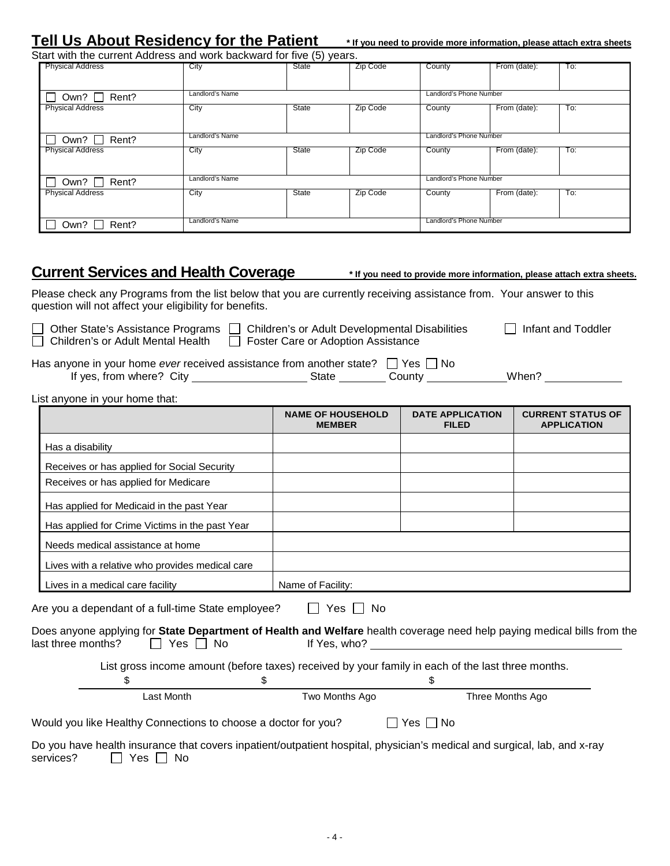## **Tell Us About Residency for the Patient \* If you need to provide more information, please attach extra sheets**

| Start with the current Address and work backward for five (5) years. |                 |       |          |                         |              |     |
|----------------------------------------------------------------------|-----------------|-------|----------|-------------------------|--------------|-----|
| <b>Physical Address</b>                                              | City            | State | Zip Code | County                  | From (date): | To: |
|                                                                      |                 |       |          |                         |              |     |
| Rent?<br>Own?                                                        | Landlord's Name |       |          | Landlord's Phone Number |              |     |
| <b>Physical Address</b>                                              | City            | State | Zip Code | County                  | From (date): | To: |
|                                                                      |                 |       |          |                         |              |     |
| Rent?<br>Own? $\Box$                                                 | Landlord's Name |       |          | Landlord's Phone Number |              |     |
| <b>Physical Address</b>                                              | City            | State | Zip Code | County                  | From (date): | To: |
|                                                                      |                 |       |          |                         |              |     |
| Own? $\Box$<br>Rent?                                                 | Landlord's Name |       |          | Landlord's Phone Number |              |     |
| <b>Physical Address</b>                                              | City            | State | Zip Code | County                  | From (date): | To: |
|                                                                      |                 |       |          |                         |              |     |
| Rent?<br>Own?                                                        | Landlord's Name |       |          | Landlord's Phone Number |              |     |

## Current Services and Health Coverage **\*** If you need to provide more information, please attach extra sheets.

Please check any Programs from the list below that you are currently receiving assistance from. Your answer to this question will not affect your eligibility for benefits.

| □ Other State's Assistance |
|----------------------------|
| Childron's or Adult Monts  |

Other State's Assistance Programs  $\Box$  Children's or Adult Developmental Disabilities  $\Box$  Infant and Toddler Children's or Adult Mental Health  $\Box$  Foster Care or Adoption Assistance

| Has anyone in your home ever received assistance from another state? $\Box$ Yes $\Box$ No |       |        |       |
|-------------------------------------------------------------------------------------------|-------|--------|-------|
| If yes, from where? City                                                                  | State | Countv | When? |

List anyone in your home that:

|                                                                                                                                                                               | <b>NAME OF HOUSEHOLD</b><br><b>MEMBER</b> | <b>DATE APPLICATION</b><br><b>FILED</b> | <b>CURRENT STATUS OF</b><br><b>APPLICATION</b> |
|-------------------------------------------------------------------------------------------------------------------------------------------------------------------------------|-------------------------------------------|-----------------------------------------|------------------------------------------------|
| Has a disability                                                                                                                                                              |                                           |                                         |                                                |
| Receives or has applied for Social Security                                                                                                                                   |                                           |                                         |                                                |
| Receives or has applied for Medicare                                                                                                                                          |                                           |                                         |                                                |
| Has applied for Medicaid in the past Year                                                                                                                                     |                                           |                                         |                                                |
| Has applied for Crime Victims in the past Year                                                                                                                                |                                           |                                         |                                                |
| Needs medical assistance at home                                                                                                                                              |                                           |                                         |                                                |
| Lives with a relative who provides medical care                                                                                                                               |                                           |                                         |                                                |
| Lives in a medical care facility                                                                                                                                              | Name of Facility:                         |                                         |                                                |
| Are you a dependant of a full-time State employee?<br>Does anyone applying for State Department of Health and Welfare health coverage need help paying medical bills from the | II Yes II No                              |                                         |                                                |
| last three months?<br>II Yes II No                                                                                                                                            | If $Yes, who?$                            |                                         |                                                |
| List gross income amount (before taxes) received by your family in each of the last three months.<br>\$                                                                       | \$                                        | \$                                      |                                                |
| Last Month                                                                                                                                                                    | Two Months Ago                            | Three Months Ago                        |                                                |
| Would you like Healthy Connections to choose a doctor for you?                                                                                                                |                                           | Yes $\Box$ No                           |                                                |
| Do you have health insurance that covers inpatient/outpatient hospital, physician's medical and surgical, lab, and x-ray<br>$\Box$ $\Box$                                     |                                           |                                         |                                                |

services?  $\Box$  Yes  $\Box$  No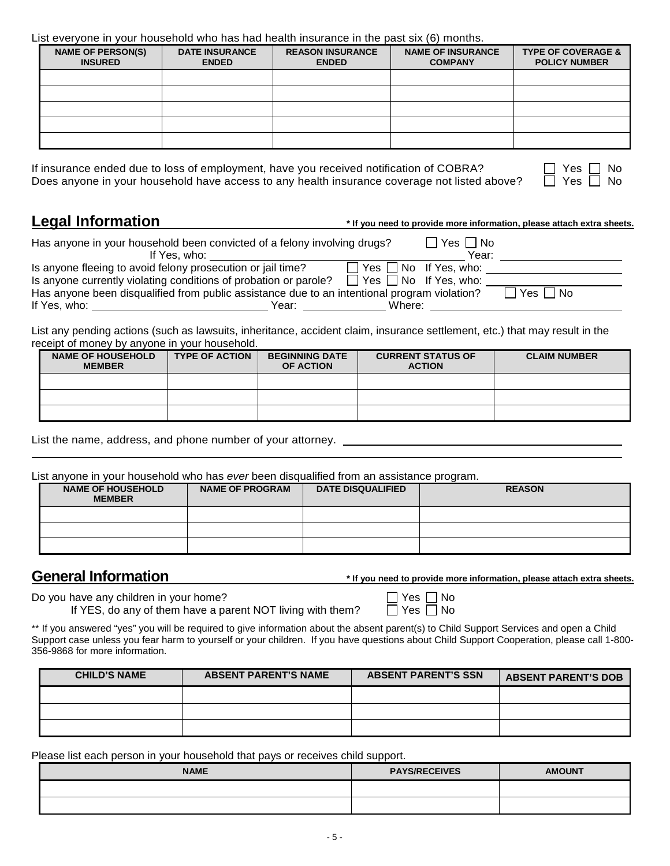### List everyone in your household who has had health insurance in the past six (6) months.

| <b>NAME OF PERSON(S)</b><br><b>INSURED</b> | <b>DATE INSURANCE</b><br><b>ENDED</b> | <b>REASON INSURANCE</b><br><b>ENDED</b> | <b>NAME OF INSURANCE</b><br><b>COMPANY</b> | <b>TYPE OF COVERAGE &amp;</b><br><b>POLICY NUMBER</b> |
|--------------------------------------------|---------------------------------------|-----------------------------------------|--------------------------------------------|-------------------------------------------------------|
|                                            |                                       |                                         |                                            |                                                       |
|                                            |                                       |                                         |                                            |                                                       |
|                                            |                                       |                                         |                                            |                                                       |
|                                            |                                       |                                         |                                            |                                                       |
|                                            |                                       |                                         |                                            |                                                       |

If insurance ended due to loss of employment, have you received notification of COBRA?  $\Box$  Yes  $\Box$  No<br>Does anyone in your household have access to any health insurance coverage not listed above?  $\Box$  Yes  $\Box$  No Does anyone in your household have access to any health insurance coverage not listed above?

**Legal Information** \* If you need to provide more information, please attach extra sheets.

| Has anyone in your household been convicted of a felony involving drugs?                     |       |                                   | Yes   No |            |
|----------------------------------------------------------------------------------------------|-------|-----------------------------------|----------|------------|
| If Yes, who:                                                                                 |       |                                   | Year:    |            |
| Is anyone fleeing to avoid felony prosecution or jail time?                                  |       | $\Box$ Yes $\Box$ No If Yes, who: |          |            |
| Is anyone currently violating conditions of probation or parole?                             |       | $\Box$ Yes $\Box$ No If Yes, who: |          |            |
| Has anyone been disqualified from public assistance due to an intentional program violation? |       |                                   |          | Yes     No |
| If Yes, who:                                                                                 | Year: | Where:                            |          |            |

List any pending actions (such as lawsuits, inheritance, accident claim, insurance settlement, etc.) that may result in the receipt of money by anyone in your household.

| <b>NAME OF HOUSEHOLD</b><br><b>MEMBER</b> | <b>TYPE OF ACTION</b> | <b>BEGINNING DATE</b><br>OF ACTION | <b>CURRENT STATUS OF</b><br><b>ACTION</b> | <b>CLAIM NUMBER</b> |
|-------------------------------------------|-----------------------|------------------------------------|-------------------------------------------|---------------------|
|                                           |                       |                                    |                                           |                     |
|                                           |                       |                                    |                                           |                     |
|                                           |                       |                                    |                                           |                     |

List the name, address, and phone number of your attorney.

List anyone in your household who has *ever* been disqualified from an assistance program.

| <b>NAME OF HOUSEHOLD</b><br><b>MEMBER</b> | <b>NAME OF PROGRAM</b> | <b>DATE DISQUALIFIED</b> | <b>REASON</b> |
|-------------------------------------------|------------------------|--------------------------|---------------|
|                                           |                        |                          |               |
|                                           |                        |                          |               |
|                                           |                        |                          |               |

**General Information \*** If you need to provide more information, please attach extra sheets.

| Do you have any children in your home?                     | $\Box$ Yes $\Box$ No |
|------------------------------------------------------------|----------------------|
| If YES, do any of them have a parent NOT living with them? | $\Box$ Yes $\Box$ No |

\*\* If you answered "yes" you will be required to give information about the absent parent(s) to Child Support Services and open a Child Support case unless you fear harm to yourself or your children. If you have questions about Child Support Cooperation, please call 1-800-356-9868 for more information.

| <b>CHILD'S NAME</b> | <b>ABSENT PARENT'S NAME</b> | <b>ABSENT PARENT'S SSN</b> | <b>ABSENT PARENT'S DOB</b> |
|---------------------|-----------------------------|----------------------------|----------------------------|
|                     |                             |                            |                            |
|                     |                             |                            |                            |
|                     |                             |                            |                            |

Please list each person in your household that pays or receives child support.

| <b>NAME</b> | <b>PAYS/RECEIVES</b> | <b>AMOUNT</b> |
|-------------|----------------------|---------------|
|             |                      |               |
|             |                      |               |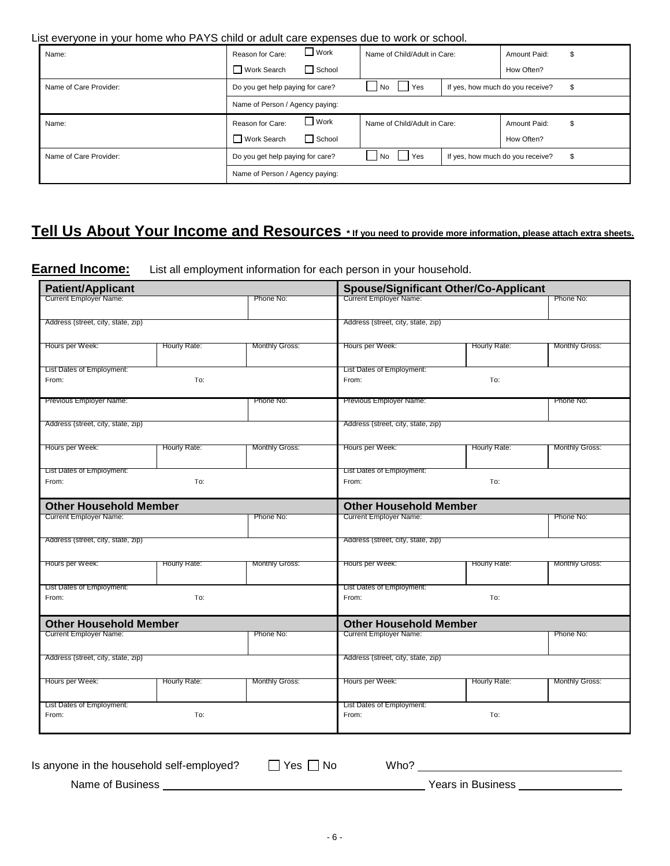### List everyone in your home who PAYS child or adult care expenses due to work or school.

| Name:                  | $\Box$ Work<br>Reason for Care:  | Name of Child/Adult in Care: | \$<br>Amount Paid:                     |
|------------------------|----------------------------------|------------------------------|----------------------------------------|
|                        | School<br>Work Search            |                              | How Often?                             |
| Name of Care Provider: | Do you get help paying for care? | Yes<br>l No                  | If yes, how much do you receive?<br>\$ |
|                        | Name of Person / Agency paying:  |                              |                                        |
| Name:                  | $\Box$ Work<br>Reason for Care:  | Name of Child/Adult in Care: | \$<br>Amount Paid:                     |
|                        | Work Search<br>School            |                              | How Often?                             |
| Name of Care Provider: | Do you get help paying for care? | l No<br>Yes                  | \$<br>If yes, how much do you receive? |
|                        | Name of Person / Agency paying:  |                              |                                        |

## **Tell Us About Your Income and Resources \* If you need to provide more information, please attach extra sheets.**

**Earned Income:** List all employment information for each person in your household.

| <b>Patient/Applicant</b>           |              | <b>Spouse/Significant Other/Co-Applicant</b> |                                    |              |                       |
|------------------------------------|--------------|----------------------------------------------|------------------------------------|--------------|-----------------------|
| Current Employer Name:             |              | Phone No:                                    | Current Employer Name:             |              | Phone No:             |
| Address (street, city, state, zip) |              |                                              | Address (street, city, state, zip) |              |                       |
| Hours per Week:                    | Hourly Rate: | <b>Monthly Gross:</b>                        | Hours per Week:                    | Hourly Rate: | <b>Monthly Gross:</b> |
|                                    |              |                                              |                                    |              |                       |
| List Dates of Employment:          |              |                                              | List Dates of Employment:          |              |                       |
| From:                              | To:          |                                              | From:                              | To:          |                       |
| Previous Employer Name:            |              | Phone No:                                    | Previous Employer Name:            |              | Phone No:             |
| Address (street, city, state, zip) |              |                                              | Address (street, city, state, zip) |              |                       |
| Hours per Week:                    | Hourly Rate: | <b>Monthly Gross:</b>                        | Hours per Week:                    | Hourly Rate: | <b>Monthly Gross:</b> |
| List Dates of Employment:          |              |                                              | List Dates of Employment:          |              |                       |
| From:                              | To:          |                                              | From:                              | To:          |                       |
| <b>Other Household Member</b>      |              |                                              | <b>Other Household Member</b>      |              |                       |
| <b>Current Employer Name:</b>      |              | Phone No:                                    | <b>Current Employer Name:</b>      |              | Phone No:             |
| Address (street, city, state, zip) |              |                                              | Address (street, city, state, zip) |              |                       |
| Hours per Week:                    | Hourly Rate: | <b>Monthly Gross:</b>                        | Hours per Week:                    | Hourly Rate: | <b>Monthly Gross:</b> |
| List Dates of Employment:          |              |                                              | List Dates of Employment:          |              |                       |
| From:                              | To:          |                                              | From:                              | To:          |                       |
| <b>Other Household Member</b>      |              |                                              | <b>Other Household Member</b>      |              |                       |
| <b>Current Employer Name:</b>      |              | Phone No:                                    | <b>Current Employer Name:</b>      |              | Phone No:             |
| Address (street, city, state, zip) |              |                                              | Address (street, city, state, zip) |              |                       |
| Hours per Week:                    | Hourly Rate: | <b>Monthly Gross:</b>                        | Hours per Week:                    | Hourly Rate: | <b>Monthly Gross:</b> |
| List Dates of Employment:          |              |                                              | List Dates of Employment:          |              |                       |
| From:                              | To:          |                                              | From:                              | To:          |                       |
|                                    |              |                                              |                                    |              |                       |

| Is anyone in the household self-employed? | Yes,<br>No | Who?              |  |
|-------------------------------------------|------------|-------------------|--|
| Name of Business                          |            | Years in Business |  |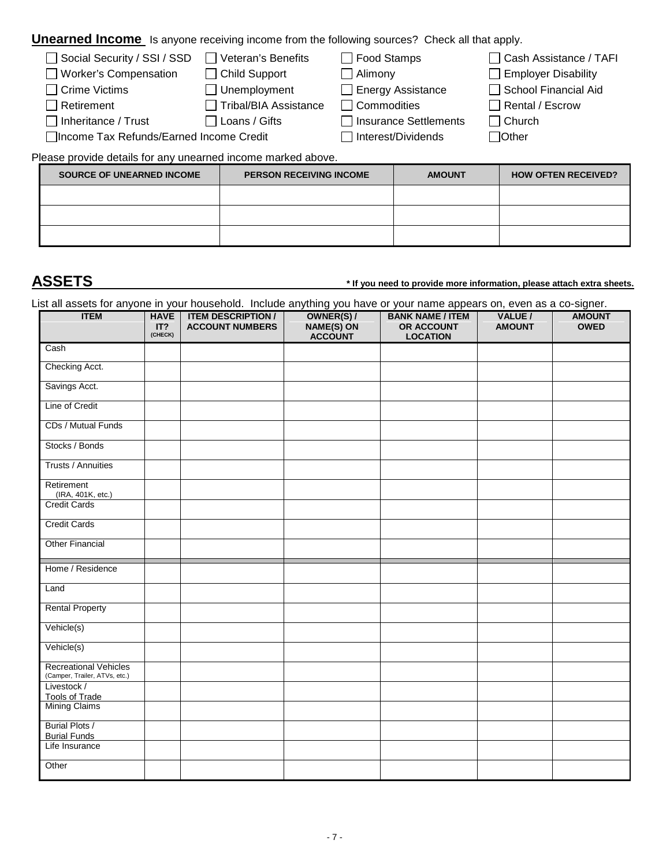## **Unearned Income** Is anyone receiving income from the following sources? Check all that apply.

| Social Security / SSI / SSD              | $\Box$ Veteran's Benefits | $\Box$ Food Stamps       | □ Cash Assistance / TAFI   |
|------------------------------------------|---------------------------|--------------------------|----------------------------|
| □ Worker's Compensation                  | $\Box$ Child Support      | $\Box$ Alimony           | $\Box$ Employer Disability |
| □ Crime Victims                          | $\Box$ Unemployment       | $\Box$ Energy Assistance | School Financial Aid       |
| $\Box$ Retirement                        | □ Tribal/BIA Assistance   | $\Box$ Commodities       | $\Box$ Rental / Escrow     |
| $\Box$ Inheritance / Trust               | $\Box$ Loans / Gifts      | Insurance Settlements    | $\Box$ Church              |
| □Income Tax Refunds/Earned Income Credit |                           | Interest/Dividends       | $\Box$ Other               |
|                                          |                           |                          |                            |

Please provide details for any unearned income marked above.

| <b>SOURCE OF UNEARNED INCOME</b> | <b>PERSON RECEIVING INCOME</b> | <b>AMOUNT</b> | <b>HOW OFTEN RECEIVED?</b> |
|----------------------------------|--------------------------------|---------------|----------------------------|
|                                  |                                |               |                            |
|                                  |                                |               |                            |
|                                  |                                |               |                            |

## **ASSETS \* If you need to provide more information, please attach extra sheets.**

List all assets for anyone in your household. Include anything you have or your name appears on, even as a co-signer.

| <b>ITEM</b>                                                   | <b>HAVE</b><br>IT?<br>(CHECK) | <b>ITEM DESCRIPTION /</b><br><b>ACCOUNT NUMBERS</b> | OWNER(S) /<br>NAME(S) ON<br><b>ACCOUNT</b> | <b>BANK NAME / ITEM</b><br>OR ACCOUNT<br><b>LOCATION</b> | VALUE /<br><b>AMOUNT</b> | <b>AMOUNT</b><br><b>OWED</b> |
|---------------------------------------------------------------|-------------------------------|-----------------------------------------------------|--------------------------------------------|----------------------------------------------------------|--------------------------|------------------------------|
| Cash                                                          |                               |                                                     |                                            |                                                          |                          |                              |
| Checking Acct.                                                |                               |                                                     |                                            |                                                          |                          |                              |
| Savings Acct.                                                 |                               |                                                     |                                            |                                                          |                          |                              |
| Line of Credit                                                |                               |                                                     |                                            |                                                          |                          |                              |
| CDs / Mutual Funds                                            |                               |                                                     |                                            |                                                          |                          |                              |
| Stocks / Bonds                                                |                               |                                                     |                                            |                                                          |                          |                              |
| <b>Trusts / Annuities</b>                                     |                               |                                                     |                                            |                                                          |                          |                              |
| Retirement<br>(IRA, 401K, etc.)                               |                               |                                                     |                                            |                                                          |                          |                              |
| Credit Cards                                                  |                               |                                                     |                                            |                                                          |                          |                              |
| <b>Credit Cards</b>                                           |                               |                                                     |                                            |                                                          |                          |                              |
| <b>Other Financial</b>                                        |                               |                                                     |                                            |                                                          |                          |                              |
| Home / Residence                                              |                               |                                                     |                                            |                                                          |                          |                              |
| Land                                                          |                               |                                                     |                                            |                                                          |                          |                              |
| <b>Rental Property</b>                                        |                               |                                                     |                                            |                                                          |                          |                              |
| Vehicle(s)                                                    |                               |                                                     |                                            |                                                          |                          |                              |
| Vehicle(s)                                                    |                               |                                                     |                                            |                                                          |                          |                              |
| <b>Recreational Vehicles</b><br>(Camper, Trailer, ATVs, etc.) |                               |                                                     |                                            |                                                          |                          |                              |
| Livestock /                                                   |                               |                                                     |                                            |                                                          |                          |                              |
| <b>Tools of Trade</b><br>Mining Claims                        |                               |                                                     |                                            |                                                          |                          |                              |
| <b>Burial Plots /</b><br><b>Burial Funds</b>                  |                               |                                                     |                                            |                                                          |                          |                              |
| Life Insurance                                                |                               |                                                     |                                            |                                                          |                          |                              |
| Other                                                         |                               |                                                     |                                            |                                                          |                          |                              |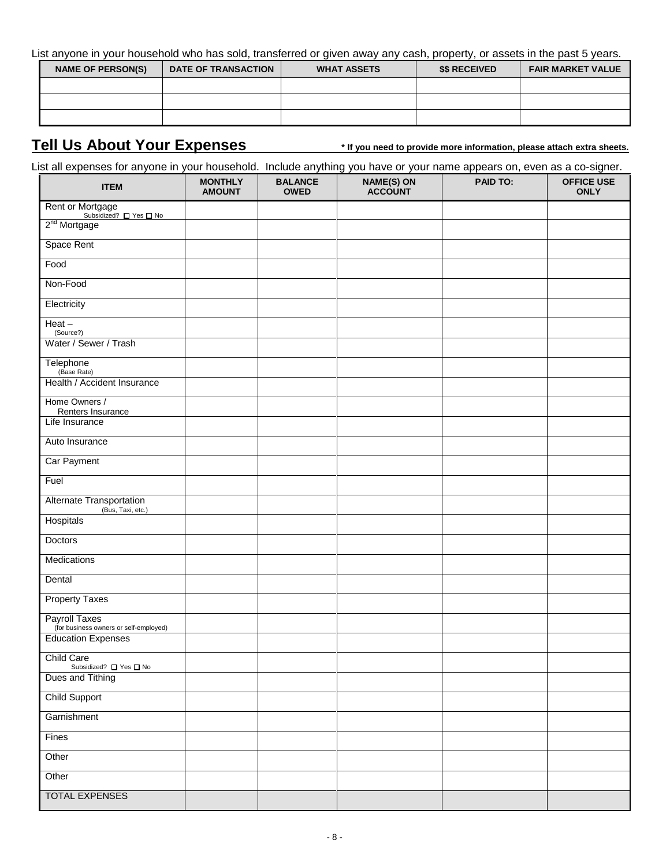List anyone in your household who has sold, transferred or given away any cash, property, or assets in the past 5 years.

| <b>NAME OF PERSON(S)</b> | <b>DATE OF TRANSACTION</b> | <b>WHAT ASSETS</b> | <b>\$\$ RECEIVED</b> | <b>FAIR MARKET VALUE</b> |
|--------------------------|----------------------------|--------------------|----------------------|--------------------------|
|                          |                            |                    |                      |                          |
|                          |                            |                    |                      |                          |
|                          |                            |                    |                      |                          |

## **Tell Us About Your Expenses \* If you need to provide more information, please attach extra sheets.**

List all expenses for anyone in your household. Include anything you have or your name appears on, even as a co-signer.

| <b>ITEM</b>                                                     | <b>MONTHLY</b><br><b>AMOUNT</b> | <b>BALANCE</b><br><b>OWED</b> | <b>NAME(S) ON</b><br><b>ACCOUNT</b> | <b>PAID TO:</b> | <b>OFFICE USE</b><br><b>ONLY</b> |
|-----------------------------------------------------------------|---------------------------------|-------------------------------|-------------------------------------|-----------------|----------------------------------|
| Rent or Mortgage<br>Subsidized? <u>No</u> Subsidized? <u>No</u> |                                 |                               |                                     |                 |                                  |
| 2 <sup>nd</sup> Mortgage                                        |                                 |                               |                                     |                 |                                  |
| Space Rent                                                      |                                 |                               |                                     |                 |                                  |
| Food                                                            |                                 |                               |                                     |                 |                                  |
| Non-Food                                                        |                                 |                               |                                     |                 |                                  |
| Electricity                                                     |                                 |                               |                                     |                 |                                  |
| $Heat -$<br>(Source?)                                           |                                 |                               |                                     |                 |                                  |
| Water / Sewer / Trash                                           |                                 |                               |                                     |                 |                                  |
| Telephone<br>(Base Rate)                                        |                                 |                               |                                     |                 |                                  |
| Health / Accident Insurance                                     |                                 |                               |                                     |                 |                                  |
| Home Owners /                                                   |                                 |                               |                                     |                 |                                  |
| Renters Insurance<br>Life Insurance                             |                                 |                               |                                     |                 |                                  |
| Auto Insurance                                                  |                                 |                               |                                     |                 |                                  |
| Car Payment                                                     |                                 |                               |                                     |                 |                                  |
| Fuel                                                            |                                 |                               |                                     |                 |                                  |
| <b>Alternate Transportation</b>                                 |                                 |                               |                                     |                 |                                  |
| (Bus, Taxi, etc.)<br>Hospitals                                  |                                 |                               |                                     |                 |                                  |
| <b>Doctors</b>                                                  |                                 |                               |                                     |                 |                                  |
| Medications                                                     |                                 |                               |                                     |                 |                                  |
| Dental                                                          |                                 |                               |                                     |                 |                                  |
| <b>Property Taxes</b>                                           |                                 |                               |                                     |                 |                                  |
| <b>Payroll Taxes</b><br>(for business owners or self-employed)  |                                 |                               |                                     |                 |                                  |
| <b>Education Expenses</b>                                       |                                 |                               |                                     |                 |                                  |
| <b>Child Care</b><br>Subsidized? □ Yes □ No                     |                                 |                               |                                     |                 |                                  |
| Dues and Tithing                                                |                                 |                               |                                     |                 |                                  |
| <b>Child Support</b>                                            |                                 |                               |                                     |                 |                                  |
| Garnishment                                                     |                                 |                               |                                     |                 |                                  |
| Fines                                                           |                                 |                               |                                     |                 |                                  |
| Other                                                           |                                 |                               |                                     |                 |                                  |
| Other                                                           |                                 |                               |                                     |                 |                                  |
| <b>TOTAL EXPENSES</b>                                           |                                 |                               |                                     |                 |                                  |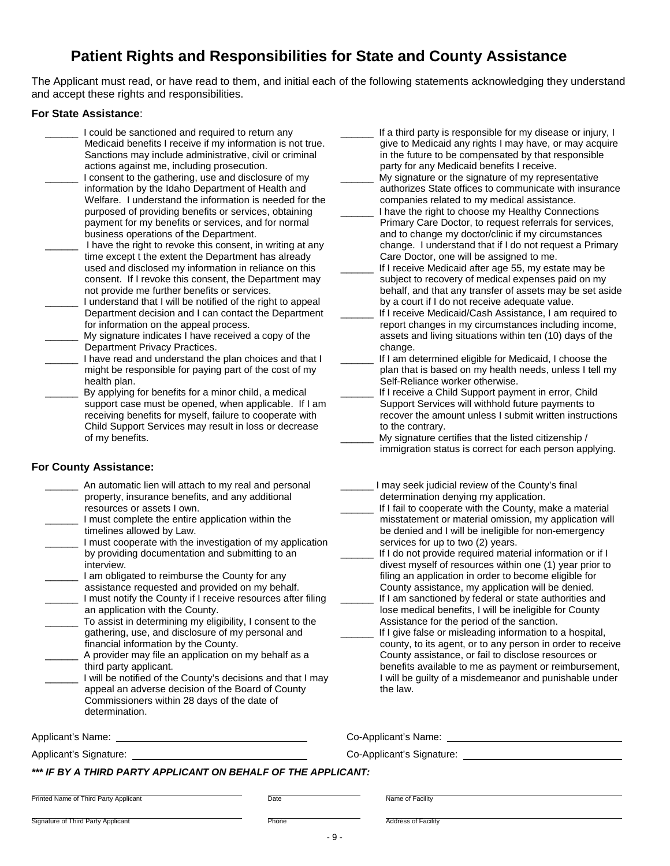## **Patient Rights and Responsibilities for State and County Assistance**

The Applicant must read, or have read to them, and initial each of the following statements acknowledging they understand and accept these rights and responsibilities.

#### **For State Assistance**:

- I could be sanctioned and required to return any Medicaid benefits I receive if my information is not true. Sanctions may include administrative, civil or criminal actions against me, including prosecution. I consent to the gathering, use and disclosure of my information by the Idaho Department of Health and Welfare. I understand the information is needed for the purposed of providing benefits or services, obtaining payment for my benefits or services, and for normal business operations of the Department. I have the right to revoke this consent, in writing at any
- time except t the extent the Department has already used and disclosed my information in reliance on this consent. If I revoke this consent, the Department may not provide me further benefits or services.
- I understand that I will be notified of the right to appeal Department decision and I can contact the Department for information on the appeal process.
- My signature indicates I have received a copy of the Department Privacy Practices.
- I have read and understand the plan choices and that I might be responsible for paying part of the cost of my health plan.
	- By applying for benefits for a minor child, a medical support case must be opened, when applicable. If I am receiving benefits for myself, failure to cooperate with Child Support Services may result in loss or decrease of my benefits.

#### **For County Assistance:**

- An automatic lien will attach to my real and personal property, insurance benefits, and any additional resources or assets I own. I must complete the entire application within the timelines allowed by Law. I must cooperate with the investigation of my application by providing documentation and submitting to an interview. I am obligated to reimburse the County for any assistance requested and provided on my behalf. I must notify the County if I receive resources after filing an application with the County. \_\_\_\_\_\_ To assist in determining my eligibility, I consent to the gathering, use, and disclosure of my personal and
- financial information by the County. A provider may file an application on my behalf as a third party applicant.
- I will be notified of the County's decisions and that I may appeal an adverse decision of the Board of County Commissioners within 28 days of the date of determination.

Applicant's Name: Co-Applicant's Name:

- If a third party is responsible for my disease or injury, I give to Medicaid any rights I may have, or may acquire in the future to be compensated by that responsible party for any Medicaid benefits I receive.
- My signature or the signature of my representative authorizes State offices to communicate with insurance companies related to my medical assistance.
- I have the right to choose my Healthy Connections Primary Care Doctor, to request referrals for services, and to change my doctor/clinic if my circumstances change. I understand that if I do not request a Primary Care Doctor, one will be assigned to me.
- If I receive Medicaid after age 55, my estate may be subject to recovery of medical expenses paid on my behalf, and that any transfer of assets may be set aside by a court if I do not receive adequate value.
- If I receive Medicaid/Cash Assistance, I am required to report changes in my circumstances including income, assets and living situations within ten (10) days of the change.
- If I am determined eligible for Medicaid, I choose the plan that is based on my health needs, unless I tell my Self-Reliance worker otherwise.
- If I receive a Child Support payment in error, Child Support Services will withhold future payments to recover the amount unless I submit written instructions to the contrary.
- My signature certifies that the listed citizenship / immigration status is correct for each person applying.
- I may seek judicial review of the County's final determination denying my application.
- If I fail to cooperate with the County, make a material misstatement or material omission, my application will be denied and I will be ineligible for non-emergency services for up to two (2) years.
- If I do not provide required material information or if I divest myself of resources within one (1) year prior to filing an application in order to become eligible for County assistance, my application will be denied.
- If I am sanctioned by federal or state authorities and lose medical benefits, I will be ineligible for County Assistance for the period of the sanction.
- If I give false or misleading information to a hospital, county, to its agent, or to any person in order to receive County assistance, or fail to disclose resources or benefits available to me as payment or reimbursement, I will be guilty of a misdemeanor and punishable under the law.

| Co-Applicant's Name: |  |
|----------------------|--|
|                      |  |

Applicant's Signature: Co-Applicant's Signature:

### *\*\*\* IF BY A THIRD PARTY APPLICANT ON BEHALF OF THE APPLICANT:*

Printed Name of Third Party Applicant **Date Name of Third Party Applicant** Date Name of Facility

Signature of Third Party Applicant **Phone Phone Address of Facility** Phone Address of Facility

- 9 -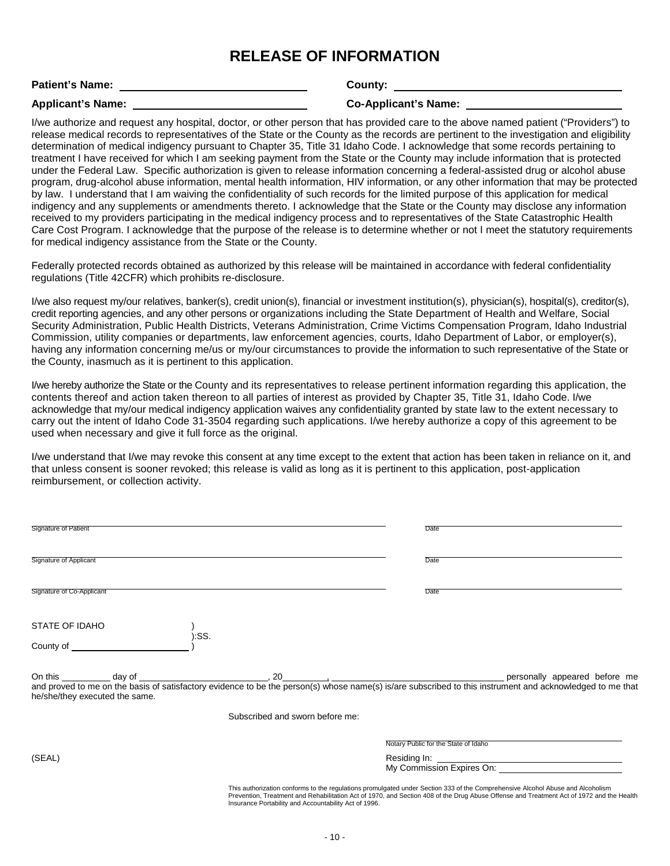## **RELEASE OF INFORMATION**

**Patient's Name: County:** 

**Applicant's Name: Co-Applicant's Name:** 

I/we authorize and request any hospital, doctor, or other person that has provided care to the above named patient ("Providers") to release medical records to representatives of the State or the County as the records are pertinent to the investigation and eligibility determination of medical indigency pursuant to Chapter 35, Title 31 Idaho Code. I acknowledge that some records pertaining to treatment I have received for which I am seeking payment from the State or the County may include information that is protected under the Federal Law. Specific authorization is given to release information concerning a federal-assisted drug or alcohol abuse program, drug-alcohol abuse information, mental health information, HIV information, or any other information that may be protected by law. I understand that I am waiving the confidentiality of such records for the limited purpose of this application for medical indigency and any supplements or amendments thereto. I acknowledge that the State or the County may disclose any information received to my providers participating in the medical indigency process and to representatives of the State Catastrophic Health Care Cost Program. I acknowledge that the purpose of the release is to determine whether or not I meet the statutory requirements for medical indigency assistance from the State or the County.

Federally protected records obtained as authorized by this release will be maintained in accordance with federal confidentiality regulations (Title 42CFR) which prohibits re-disclosure.

I/we also request my/our relatives, banker(s), credit union(s), financial or investment institution(s), physician(s), hospital(s), creditor(s), credit reporting agencies, and any other persons or organizations including the State Department of Health and Welfare, Social Security Administration, Public Health Districts, Veterans Administration, Crime Victims Compensation Program, Idaho Industrial Commission, utility companies or departments, law enforcement agencies, courts, Idaho Department of Labor, or employer(s), having any information concerning me/us or my/our circumstances to provide the information to such representative of the State or the County, inasmuch as it is pertinent to this application.

I/we hereby authorize the State or the County and its representatives to release pertinent information regarding this application, the contents thereof and action taken thereon to all parties of interest as provided by Chapter 35, Title 31, Idaho Code. I/we acknowledge that my/our medical indigency application waives any confidentiality granted by state law to the extent necessary to carry out the intent of Idaho Code 31-3504 regarding such applications. I/we hereby authorize a copy of this agreement to be used when necessary and give it full force as the original.

I/we understand that I/we may revoke this consent at any time except to the extent that action has been taken in reliance on it, and that unless consent is sooner revoked; this release is valid as long as it is pertinent to this application, post-application reimbursement, or collection activity.

| Signature of Patient           |                                 | Date                                                                                                                           |                                                                                                                                          |
|--------------------------------|---------------------------------|--------------------------------------------------------------------------------------------------------------------------------|------------------------------------------------------------------------------------------------------------------------------------------|
| Signature of Applicant         |                                 | Date                                                                                                                           |                                                                                                                                          |
| Signature of Co-Applicant      |                                 | Date                                                                                                                           |                                                                                                                                          |
| STATE OF IDAHO                 | ):SS.                           |                                                                                                                                |                                                                                                                                          |
| County of <u>County of</u>     |                                 |                                                                                                                                |                                                                                                                                          |
| he/she/they executed the same. |                                 |                                                                                                                                |                                                                                                                                          |
|                                | Subscribed and sworn before me: |                                                                                                                                |                                                                                                                                          |
|                                |                                 | Notary Public for the State of Idaho                                                                                           |                                                                                                                                          |
| (SEAL)                         |                                 |                                                                                                                                |                                                                                                                                          |
|                                |                                 | This authorization conforms to the regulations promulgated under Section 333 of the Comprehensive Alcohol Abuse and Alcoholism | Prevention, Treatment and Rehabilitation Act of 1970, and Section 408 of the Drug Abuse Offense and Treatment Act of 1972 and the Health |

Insurance Portability and Accountability Act of 1996.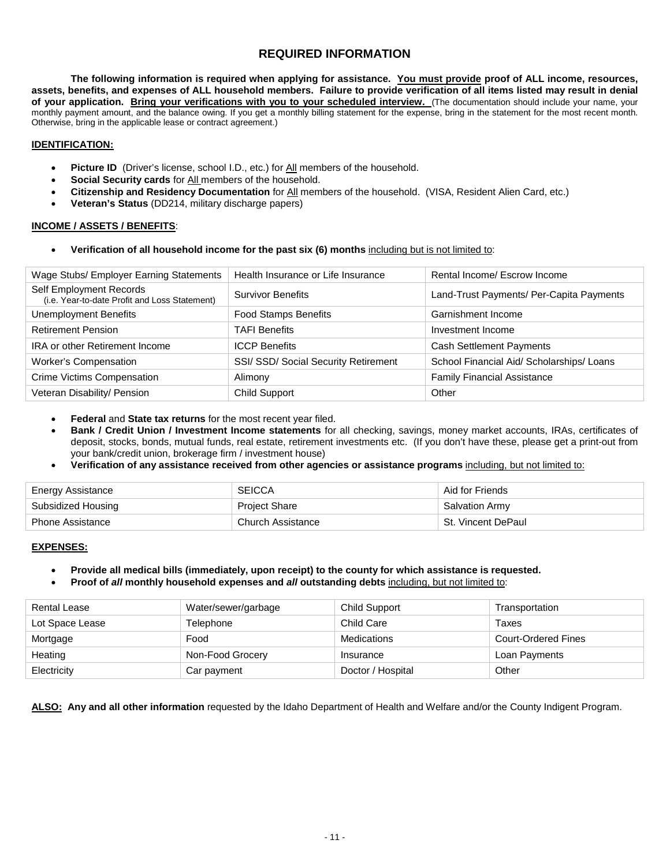## **REQUIRED INFORMATION**

**The following information is required when applying for assistance. You must provide proof of ALL income, resources, assets, benefits, and expenses of ALL household members. Failure to provide verification of all items listed may result in denial**  of your application. Bring your verifications with you to your scheduled interview. (The documentation should include your name, your monthly payment amount, and the balance owing. If you get a monthly billing statement for the expense, bring in the statement for the most recent month. Otherwise, bring in the applicable lease or contract agreement.)

#### **IDENTIFICATION:**

- **Picture ID** (Driver's license, school I.D., etc.) for All members of the household.
- **Social Security cards** for All members of the household.
- **Citizenship and Residency Documentation** for All members of the household. (VISA, Resident Alien Card, etc.)
- **Veteran's Status** (DD214, military discharge papers)

#### **INCOME / ASSETS / BENEFITS**:

• **Verification of all household income for the past six (6) months** including but is not limited to:

| Wage Stubs/ Employer Earning Statements                                  | Health Insurance or Life Insurance   | Rental Income/ Escrow Income              |
|--------------------------------------------------------------------------|--------------------------------------|-------------------------------------------|
| Self Employment Records<br>(i.e. Year-to-date Profit and Loss Statement) | <b>Survivor Benefits</b>             | Land-Trust Payments/ Per-Capita Payments  |
| <b>Unemployment Benefits</b>                                             | <b>Food Stamps Benefits</b>          | Garnishment Income                        |
| <b>Retirement Pension</b>                                                | <b>TAFI Benefits</b>                 | Investment Income                         |
| <b>IRA or other Retirement Income</b>                                    | <b>ICCP Benefits</b>                 | <b>Cash Settlement Payments</b>           |
| Worker's Compensation                                                    | SSI/ SSD/ Social Security Retirement | School Financial Aid/ Scholarships/ Loans |
| <b>Crime Victims Compensation</b>                                        | Alimony                              | <b>Family Financial Assistance</b>        |
| Veteran Disability/ Pension                                              | Child Support                        | Other                                     |

- **Federal** and **State tax returns** for the most recent year filed.
- **Bank / Credit Union / Investment Income statements** for all checking, savings, money market accounts, IRAs, certificates of deposit, stocks, bonds, mutual funds, real estate, retirement investments etc. (If you don't have these, please get a print-out from your bank/credit union, brokerage firm / investment house)
- **Verification of any assistance received from other agencies or assistance programs** including, but not limited to:

| <b>Energy Assistance</b> | <b>SEICCA</b>        | Aid for Friends       |
|--------------------------|----------------------|-----------------------|
| Subsidized Housing       | <b>Project Share</b> | <b>Salvation Army</b> |
| Phone Assistance         | Church Assistance    | St. Vincent DePaul    |

#### **EXPENSES:**

- **Provide all medical bills (immediately, upon receipt) to the county for which assistance is requested.**
- **Proof of** *all* **monthly household expenses and** *all* **outstanding debts** including, but not limited to:

| Rental Lease    | Water/sewer/garbage | Child Support     | Transportation             |
|-----------------|---------------------|-------------------|----------------------------|
| Lot Space Lease | Telephone           | Child Care        | Taxes                      |
| Mortgage        | Food                | Medications       | <b>Court-Ordered Fines</b> |
| Heating         | Non-Food Grocery    | Insurance         | Loan Payments              |
| Electricity     | Car payment         | Doctor / Hospital | Other                      |

**ALSO: Any and all other information** requested by the Idaho Department of Health and Welfare and/or the County Indigent Program.